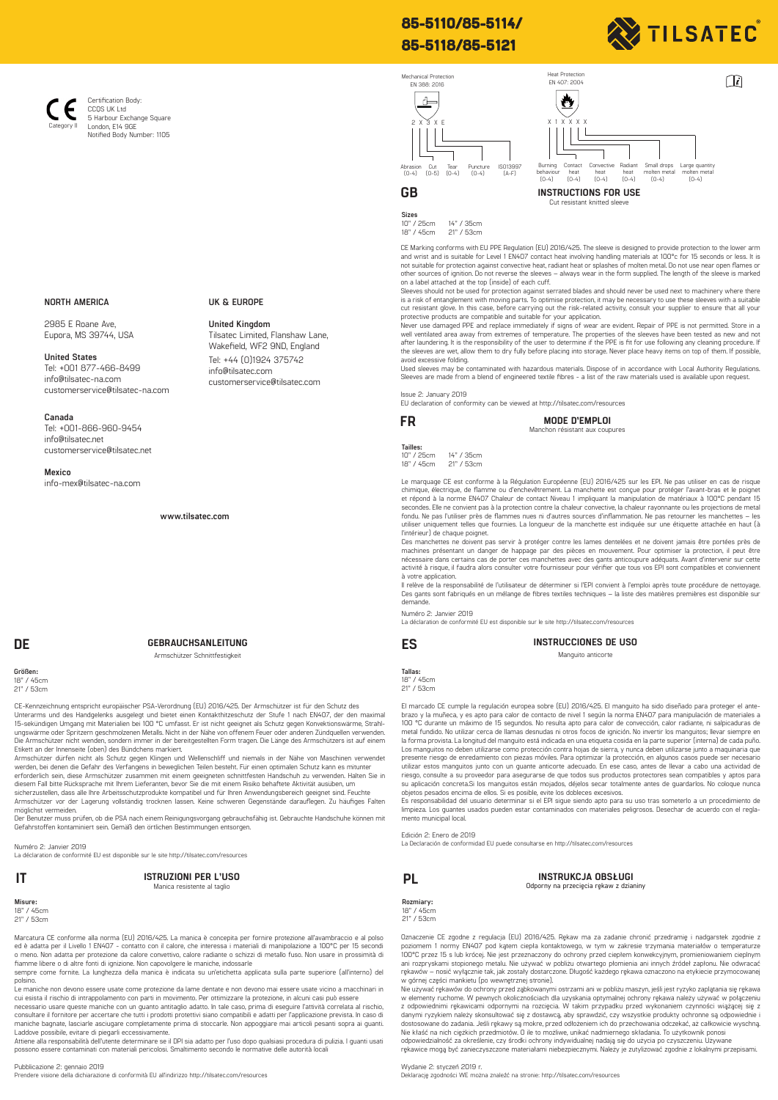# **85-5110/85-5114/ 85-5118/85-5121**



 $\sqrt{i}$ 





**Sizes**  10" / 25cm 14" / 35cm<br>18" / 45cm 21" / 53cm 18" / 45cm 21" / 53cm

CE Marking conforms with EU PPE Regulation (EU) 2016/425. The sleeve is designed to provide protection to the lower arm<br>and wrist and is suitable for Level 1 EN407 contact heat involving handling materials at 100°c for 15 other sources of ignition. Do not reverse the sleeves – always wear in the form supplied. The length of the sleeve is marked on a label attached at the top (inside) of each cuff.

Heat Protection

Sleeves should not be used for protection against serrated blades and should never be used next to machinery where there is a risk of entanglement with moving parts. To optimise protection, it may be necessary to use these sleeves with a suitable<br>cut resistant glove. In this case, before carrying out the risk-related activity, consult your s

protective products are compatible and suitable for your application.<br>Never use damaged PPE and replace immediately if signs of wear are evident. Repair of PPE is not permitted. Store in a<br>well ventilated area away from ex after laundering. It is the responsibility of the user to determine if the PPE is fit for use following any cleaning procedure. If<br>the sleeves are wet, allow them to dry fully before placing into storage. Never place heavy

Used sleeves may be contaminated with hazardous materials. Dispose of in accordance with Local Authority Regulations.<br>Sleeves are made from a blend of engineered textile fibres - a list of the raw materials used is availab

Issue 2: January 2019

EU declaration of conformity can be viewed at http://tilsatec.com/resources

**FR MODE D'EMPLOI** Manchon résistant aux coupures

**Tailles:**  10" / 25cm 14" / 35cm 18" / 45cm 21" / 53cm

Le marquage CE est conforme à la Régulation Européenne (EU) 2016/425 sur les EPI. Ne pas utiliser en cas de risque chimique, électrique, de flamme ou d'enchevêtrement. La manchette est conçue pour protéger l'avant-bras et le poignet<br>et répond à la norme EN4O7 Chaleur de contact Niveau 1 impliquant la manipulation de matériaux à 100°C p fondu. Ne pas l'utiliser près de flammes nues ni d'autres sources d'inflammation. Ne pas retourner les manchettes – les<br>utiliser uniquement telles que fournies. La longueur de la manchette est indiquée sur une étiquette at l'intérieur) de chaque poignet.

Ces manchettes ne doivent pas servir à protéger contre les lames dentelées et ne doivent jamais être portées près de<br>machines présentant un danger de happage par des pièces en mouvement. Pour optimiser la protection, il pe à votre application.

Il relève de la responsabilité de l'utilisateur de déterminer si l'EPI convient à l'emploi après toute procédure de nettoyage. Ces gants sont fabriqués en un mélange de fibres textiles techniques – la liste des matières premières est disponible sur demande.

Numéro 2: Janvier 2019

La déclaration de conformité EU est disponible sur le site http://tilsatec.com/resources

| ES | INSTRUCCIONES DE USO |
|----|----------------------|
|    | Manguito anticorte   |

**Tallas:**  18" / 45cm 21" / 53cm

El marcado CE cumple la regulación europea sobre (EU) 2016/425. El manguito ha sido diseñado para proteger el ante-<br>brazo y la muñeca, y es apto para calor de contacto de nivel 1 según la norma EN407 para manipulación de m metal fundido. No utilizar cerca de llamas desnudas ni otros focos de ignición. No invertir los manguitos; llevar siempre en<br>la forma provista. La longitud del manguito está indicada en una etiqueta cosida en la parte supe Los manguitos no deben utilizarse como protección contra hojas de sierra, y nunca deben utilizarse junto a maquinaria que<br>presente riesgo de enredamiento con piezas móviles. Para optimizar la protección, en algunos casos p riesgo, consulte a su proveedor para asegurarse de que todos sus productos protectores sean compatibles y aptos para su aplicación concreta.Si los manguitos están mojados, déjelos secar totalmente antes de guardarlos. No coloque nunca<br>objetos pesados encima de ellos. Si es posible, evite los dobleces excesivos.

Es responsabilidad del usuario determinar si el EPI sigue siendo apto para su uso tras someterlo a un procedimiento de limpieza. Los guantes usados pueden estar contaminados con materiales peligrosos. Desechar de acuerdo con el reglamento municipal local.

Edición 2: Enero de 2019

La Declaración de conformidad EU puede consultarse en http://tilsatec.com/resources

**INSTRUKCJA OBSŁUGI Odporny na przecięcia rękaw z dzianiny**

**Rozmiary:** 18" / 45cm

21" / 53cm

Oznaczenie CE zgodne z regulacja (EUJ 2016/425. Rękaw ma za zadanie chronić przedramię i nadgarstek zgodnie z<br>poziomem 1 normy EN407 pod kątem ciepła kontaktowego, w tym w zakresie trzymania materiałów o temperaturze<br>100°C ani rozpryskami stopionego metalu. Nie używać w pobliżu otwartego płomienia ani innych źródeł zapłonu. Nie odwracać<br>rękawów – nosić wyłącznie tak, jak zostały dostarczone. Długość każdego rękawa oznaczono na etykiecie przy

w górnej części mankietu (po wewnętrznej stronie).<br>Nie używać rękawów do ochrony przed ząbkowanymi ostrzami ani w pobliżu maszyn, jeśli jest ryzyko zaplątania się rękawa<br>w elementy ruchome. W pewnych okolicznościach dla uz z odpowiednimi rękawicami odpornymi na rozcięcia. W takim przypadku przed wykonaniem czynności wiążącej się z<br>danymi ryzykiem należy skonsultować się z dostawcą, aby sprawdzić, czy wszystkie produkty ochronne są odpowiedni

Nie kłaść na nich ciężkich przedmiotów. O ile to możliwe, unikać nadmiernego składania. To użytkownik ponosi<br>odpowiedzialność za określenie, czy środki ochrony indywidualnej nadają się do użycia po czyszczeniu. Używane<br>ręk

Wydanie 2: styczeń 2019 r.

Deklarację zgodności WE można znaleźć na stronie: http://tilsatec.com/resources

### **NORTH AMERICA**

Category II

Certification Body: CCOS LIK Ltd 5 Harbour Exchange Square London, E14 9GE Notified Body Number: 1105

2985 E Roane Ave, Eupora, MS 39744, USA

**United States** Tel: +001 877-466-8499 info@tilsatec-na.com customerservice@tilsatec-na.com

### **Canada**

Tel: +001-866-960-9454 info@tilsatec.net customerservice@tilsatec.net

### **Mexico**

info-mex@tilsatec-na.com

**www.tilsatec.com**

## **DE GEBRAUCHSANLEITUNG**

Armschützer Schnittfestigkeit

**Größen:** 18" / 45cm 21" / 53cm

CE-Kennzeichnung entspricht europäischer PSA-Verordnung (EU) 2016/425. Der Armschützer ist für den Schutz des<br>Unterarms und des Handgelenks ausgelegt und bietet einen Kontakthitzeschutz der Stufe 1 nach ENA07, der den maxi

Etikett an der Innenseite (oben) des Bündchens markiert.<br>Armschützer dürfen nicht als Schutz gegen Klingen und Wellenschiff und niemals in der Nähe von Maschinen verwendet<br>Armschützer dürfen nicht als Schutz gegen Klingen

Armschützer vor der Lagerung vollständig trocknen lassen. Keine schweren Gegenstände darauflegen. Zu häufiges Falten

möglichst vermeiden. Der Benutzer muss prüfen, ob die PSA nach einem Reinigungsvorgang gebrauchsfähig ist. Gebrauchte Handschuhe können mit Gefahrstoffen kontaminiert sein. Gemäß den örtlichen Bestimmungen entsorgen.

Numéro 2: Janvier 2019 La déclaration de conformité EU est disponible sur le site http://tilsatec.com/resources

**IT PL ISTRUZIONI PER L'USO** Manica resistente al taglio

**Misure:**<br>18" / 45cm 21" / 53cm

Marcatura CE conforme alla norma (EU) 2016/425. La manica è concepita per fornire protezione all'avambraccio e al polso ed è adatta per il Livello 1 EN407 - contatto con il calore, che interessa i materiali di manipolazione a 100°C per 15 secondi<br>o meno. Non adatta per protezione da calore convettivo, calore radiante o schizzi di metallo fu

fiamme libere o di altre fonti di ignizione. Non capovolgere le maniche, indossarle sempre come fornite. La lunghezza della manica è indicata su un'etichetta applicata sulla parte superiore (all'interno) del polsino.

Le maniche non devono essere usate come protezione da lame dentate e non devono mai essere usate vicino a macchinari in<br>cui esista il rischio di intrappolamento con parti in movimento. Per ottimizzare la protezione, in alc

necessario usare queste maniche con un guanto antitaglio adatto. In tale caso, prima di eseguire l'attività correlata al rischio,<br>consultare il fornitore per accertare che tutti i prodotti protettivi siano compatibili e ad Laddove possibile, evitare di piegarli eccessivamente.<br>Attiene alla responsabilità dell'utente determinare se il DPI sia adatto per l'uso dopo qualsiasi procedura di pulizia. I guanti usati

possono essere contaminati con materiali pericolosi. Smaltimento secondo le normative delle autorità locali

### Pubblicazione 2: gennaio 2019

Prendere visione della dichiarazione di conformità EU all'indirizzo http://tilsatec.com/resources

info@tilsatec.com customerservice@tilsatec.com

**United Kingdom** Tilsatec Limited, Flanshaw Lane, Wakefield, WF2 9ND, England Tel: +44 (0)1924 375742

**UK & EUROPE**